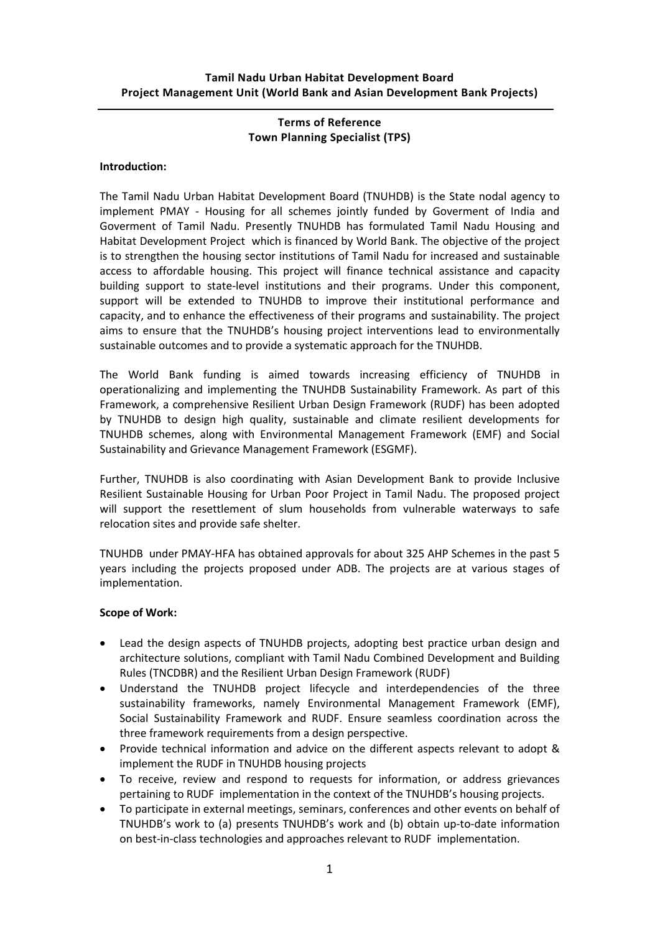## Terms of Reference Town Planning Specialist (TPS)

## Introduction:

The Tamil Nadu Urban Habitat Development Board (TNUHDB) is the State nodal agency to implement PMAY - Housing for all schemes jointly funded by Goverment of India and Goverment of Tamil Nadu. Presently TNUHDB has formulated Tamil Nadu Housing and Habitat Development Project which is financed by World Bank. The objective of the project is to strengthen the housing sector institutions of Tamil Nadu for increased and sustainable access to affordable housing. This project will finance technical assistance and capacity building support to state-level institutions and their programs. Under this component, support will be extended to TNUHDB to improve their institutional performance and capacity, and to enhance the effectiveness of their programs and sustainability. The project aims to ensure that the TNUHDB's housing project interventions lead to environmentally sustainable outcomes and to provide a systematic approach for the TNUHDB.

The World Bank funding is aimed towards increasing efficiency of TNUHDB in operationalizing and implementing the TNUHDB Sustainability Framework. As part of this Framework, a comprehensive Resilient Urban Design Framework (RUDF) has been adopted by TNUHDB to design high quality, sustainable and climate resilient developments for TNUHDB schemes, along with Environmental Management Framework (EMF) and Social Sustainability and Grievance Management Framework (ESGMF).

Further, TNUHDB is also coordinating with Asian Development Bank to provide Inclusive Resilient Sustainable Housing for Urban Poor Project in Tamil Nadu. The proposed project will support the resettlement of slum households from vulnerable waterways to safe relocation sites and provide safe shelter.

TNUHDB under PMAY-HFA has obtained approvals for about 325 AHP Schemes in the past 5 years including the projects proposed under ADB. The projects are at various stages of implementation.

## Scope of Work:

- Lead the design aspects of TNUHDB projects, adopting best practice urban design and architecture solutions, compliant with Tamil Nadu Combined Development and Building Rules (TNCDBR) and the Resilient Urban Design Framework (RUDF)
- Understand the TNUHDB project lifecycle and interdependencies of the three sustainability frameworks, namely Environmental Management Framework (EMF), Social Sustainability Framework and RUDF. Ensure seamless coordination across the three framework requirements from a design perspective.
- Provide technical information and advice on the different aspects relevant to adopt & implement the RUDF in TNUHDB housing projects
- To receive, review and respond to requests for information, or address grievances pertaining to RUDF implementation in the context of the TNUHDB's housing projects.
- To participate in external meetings, seminars, conferences and other events on behalf of TNUHDB's work to (a) presents TNUHDB's work and (b) obtain up-to-date information on best-in-class technologies and approaches relevant to RUDF implementation.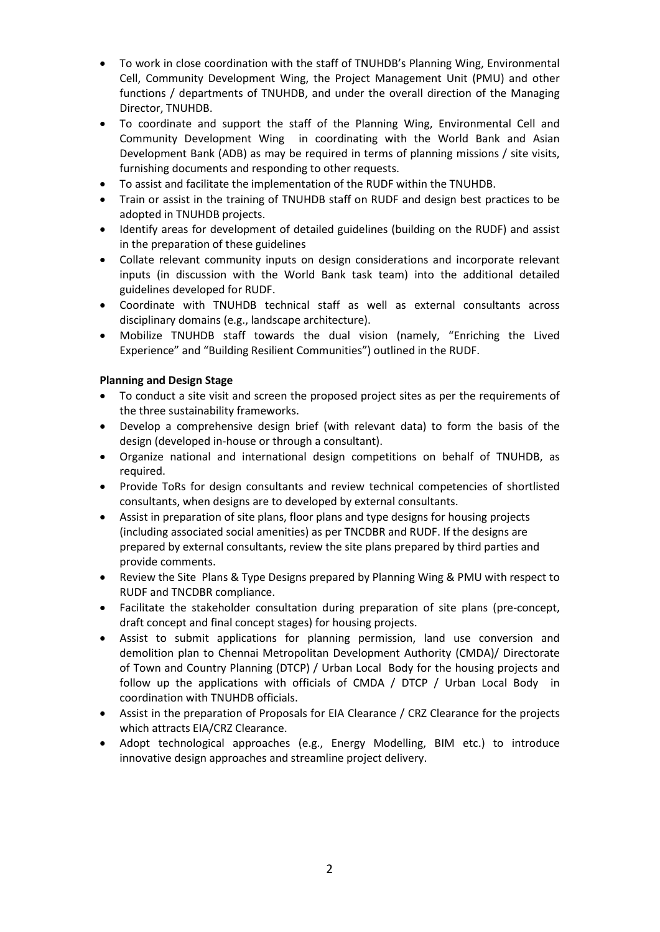- To work in close coordination with the staff of TNUHDB's Planning Wing, Environmental Cell, Community Development Wing, the Project Management Unit (PMU) and other functions / departments of TNUHDB, and under the overall direction of the Managing Director, TNUHDB.
- To coordinate and support the staff of the Planning Wing, Environmental Cell and Community Development Wing in coordinating with the World Bank and Asian Development Bank (ADB) as may be required in terms of planning missions / site visits, furnishing documents and responding to other requests.
- To assist and facilitate the implementation of the RUDF within the TNUHDB.
- Train or assist in the training of TNUHDB staff on RUDF and design best practices to be adopted in TNUHDB projects.
- Identify areas for development of detailed guidelines (building on the RUDF) and assist in the preparation of these guidelines
- Collate relevant community inputs on design considerations and incorporate relevant inputs (in discussion with the World Bank task team) into the additional detailed guidelines developed for RUDF.
- Coordinate with TNUHDB technical staff as well as external consultants across disciplinary domains (e.g., landscape architecture).
- Mobilize TNUHDB staff towards the dual vision (namely, "Enriching the Lived Experience" and "Building Resilient Communities") outlined in the RUDF.

## Planning and Design Stage

- To conduct a site visit and screen the proposed project sites as per the requirements of the three sustainability frameworks.
- Develop a comprehensive design brief (with relevant data) to form the basis of the design (developed in-house or through a consultant).
- Organize national and international design competitions on behalf of TNUHDB, as required.
- Provide ToRs for design consultants and review technical competencies of shortlisted consultants, when designs are to developed by external consultants.
- Assist in preparation of site plans, floor plans and type designs for housing projects (including associated social amenities) as per TNCDBR and RUDF. If the designs are prepared by external consultants, review the site plans prepared by third parties and provide comments.
- Review the Site Plans & Type Designs prepared by Planning Wing & PMU with respect to RUDF and TNCDBR compliance.
- Facilitate the stakeholder consultation during preparation of site plans (pre-concept, draft concept and final concept stages) for housing projects.
- Assist to submit applications for planning permission, land use conversion and demolition plan to Chennai Metropolitan Development Authority (CMDA)/ Directorate of Town and Country Planning (DTCP) / Urban Local Body for the housing projects and follow up the applications with officials of CMDA / DTCP / Urban Local Body in coordination with TNUHDB officials.
- Assist in the preparation of Proposals for EIA Clearance / CRZ Clearance for the projects which attracts EIA/CRZ Clearance.
- Adopt technological approaches (e.g., Energy Modelling, BIM etc.) to introduce innovative design approaches and streamline project delivery.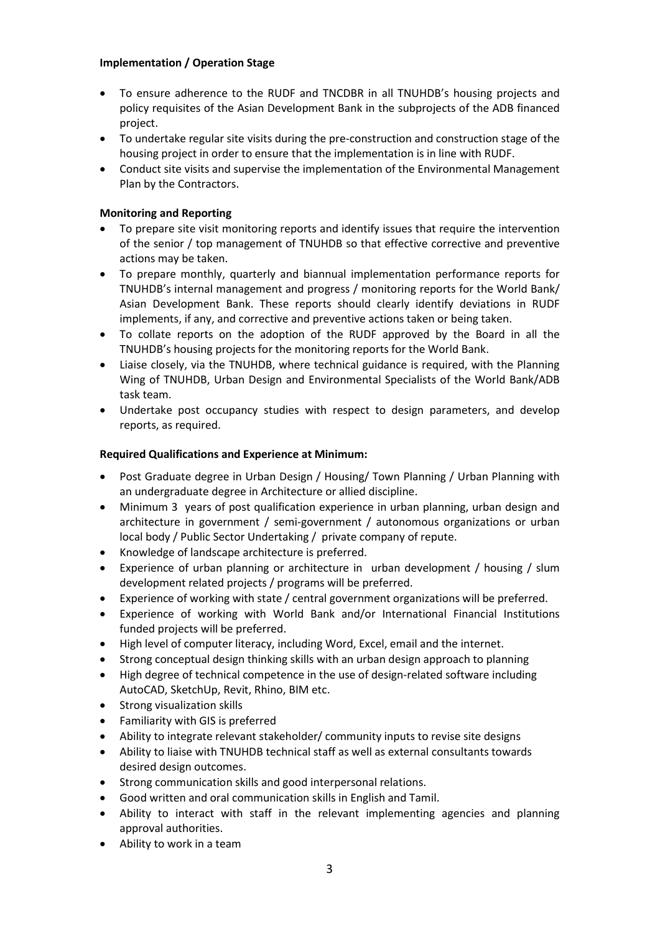# Implementation / Operation Stage

- To ensure adherence to the RUDF and TNCDBR in all TNUHDB's housing projects and policy requisites of the Asian Development Bank in the subprojects of the ADB financed project.
- To undertake regular site visits during the pre-construction and construction stage of the housing project in order to ensure that the implementation is in line with RUDF.
- Conduct site visits and supervise the implementation of the Environmental Management Plan by the Contractors.

# Monitoring and Reporting

- To prepare site visit monitoring reports and identify issues that require the intervention of the senior / top management of TNUHDB so that effective corrective and preventive actions may be taken.
- To prepare monthly, quarterly and biannual implementation performance reports for TNUHDB's internal management and progress / monitoring reports for the World Bank/ Asian Development Bank. These reports should clearly identify deviations in RUDF implements, if any, and corrective and preventive actions taken or being taken.
- To collate reports on the adoption of the RUDF approved by the Board in all the TNUHDB's housing projects for the monitoring reports for the World Bank.
- Liaise closely, via the TNUHDB, where technical guidance is required, with the Planning Wing of TNUHDB, Urban Design and Environmental Specialists of the World Bank/ADB task team.
- Undertake post occupancy studies with respect to design parameters, and develop reports, as required.

# Required Qualifications and Experience at Minimum:

- Post Graduate degree in Urban Design / Housing/ Town Planning / Urban Planning with an undergraduate degree in Architecture or allied discipline.
- Minimum 3 years of post qualification experience in urban planning, urban design and architecture in government / semi-government / autonomous organizations or urban local body / Public Sector Undertaking / private company of repute.
- Knowledge of landscape architecture is preferred.
- Experience of urban planning or architecture in urban development / housing / slum development related projects / programs will be preferred.
- Experience of working with state / central government organizations will be preferred.
- Experience of working with World Bank and/or International Financial Institutions funded projects will be preferred.
- High level of computer literacy, including Word, Excel, email and the internet.
- Strong conceptual design thinking skills with an urban design approach to planning
- High degree of technical competence in the use of design-related software including AutoCAD, SketchUp, Revit, Rhino, BIM etc.
- Strong visualization skills
- Familiarity with GIS is preferred
- Ability to integrate relevant stakeholder/ community inputs to revise site designs
- Ability to liaise with TNUHDB technical staff as well as external consultants towards desired design outcomes.
- Strong communication skills and good interpersonal relations.
- Good written and oral communication skills in English and Tamil.
- Ability to interact with staff in the relevant implementing agencies and planning approval authorities.
- Ability to work in a team